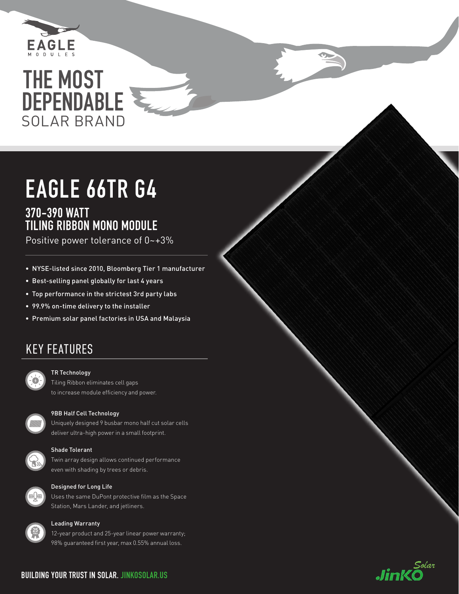

# SOLAR BRAND THE MOST DEPENDABLE

# EAGLE 66TR G4 370-390 WATT TILING RIBBON MONO MODULE

Positive power tolerance of 0~+3%

- NYSE-listed since 2010, Bloomberg Tier 1 manufacturer
- Best-selling panel globally for last 4 years
- Top performance in the strictest 3rd party labs
- 99.9% on-time delivery to the installer
- Premium solar panel factories in USA and Malaysia

## KEY FEATURES



### TR Technology

Tiling Ribbon eliminates cell gaps to increase module efficiency and power.

### 9BB Half Cell Technology

Uniquely designed 9 busbar mono half cut solar cells deliver ultra-high power in a small footprint.



WWW

## Shade Tolerant

Twin array design allows continued performance even with shading by trees or debris.



### Designed for Long Life

Uses the same DuPont protective film as the Space Station, Mars Lander, and jetliners.



## Leading Warranty

12-year product and 25-year linear power warranty; 98% guaranteed first year, max 0.55% annual loss.

## **BUILDING YOUR TRUST IN SOLAR. JINKOSOLAR.US**